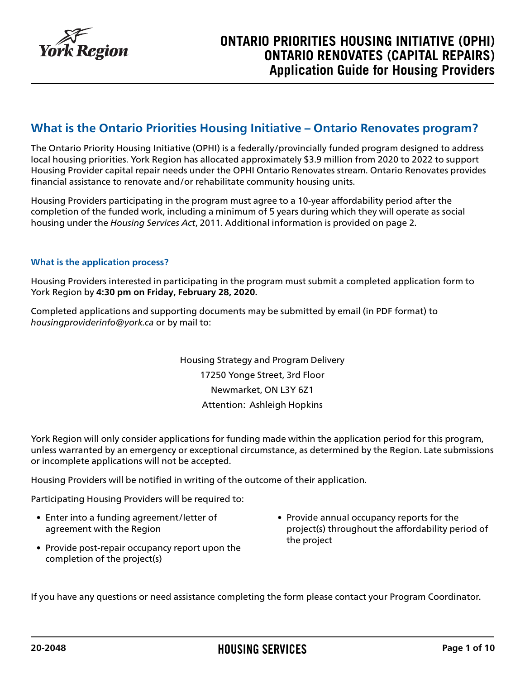

### **What is the Ontario Priorities Housing Initiative – Ontario Renovates program?**

The Ontario Priority Housing Initiative (OPHI) is a federally/provincially funded program designed to address local housing priorities. York Region has allocated approximately \$3.9 million from 2020 to 2022 to support Housing Provider capital repair needs under the OPHI Ontario Renovates stream. Ontario Renovates provides financial assistance to renovate and/or rehabilitate community housing units.

Housing Providers participating in the program must agree to a 10-year affordability period after the completion of the funded work, including a minimum of 5 years during which they will operate as social housing under the *Housing Services Act*, 2011. Additional information is provided on page 2.

#### **What is the application process?**

Housing Providers interested in participating in the program must submit a completed application form to York Region by **4:30 pm on Friday, February 28, 2020.**

Completed applications and supporting documents may be submitted by email (in PDF format) to *housingproviderinfo@york.ca* or by mail to:

> Housing Strategy and Program Delivery 17250 Yonge Street, 3rd Floor Newmarket, ON L3Y 6Z1 Attention: Ashleigh Hopkins

York Region will only consider applications for funding made within the application period for this program, unless warranted by an emergency or exceptional circumstance, as determined by the Region. Late submissions or incomplete applications will not be accepted.

Housing Providers will be notified in writing of the outcome of their application.

Participating Housing Providers will be required to:

- Enter into a funding agreement/letter of agreement with the Region
- Provide post-repair occupancy report upon the completion of the project(s)
- Provide annual occupancy reports for the project(s) throughout the affordability period of the project

If you have any questions or need assistance completing the form please contact your Program Coordinator.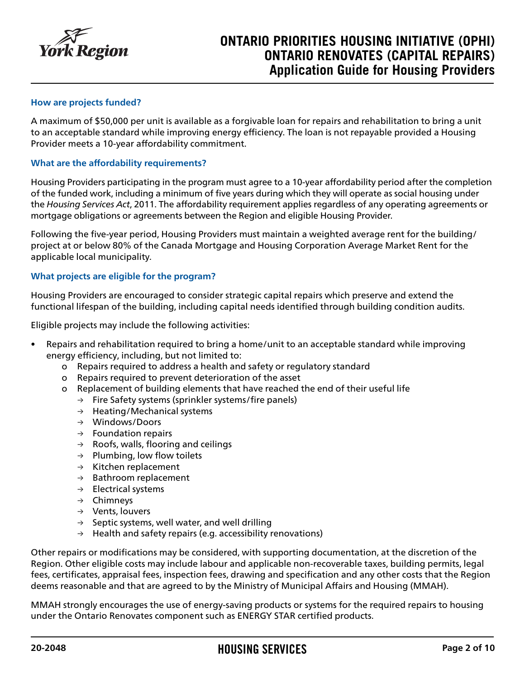

## **ONTARIO PRIORITIES HOUSING INITIATIVE (OPHI) ONTARIO RENOVATES (CAPITAL REPAIRS) Application Guide for Housing Providers**

#### **How are projects funded?**

A maximum of \$50,000 per unit is available as a forgivable loan for repairs and rehabilitation to bring a unit to an acceptable standard while improving energy efficiency. The loan is not repayable provided a Housing Provider meets a 10-year affordability commitment.

#### **What are the affordability requirements?**

Housing Providers participating in the program must agree to a 10-year affordability period after the completion of the funded work, including a minimum of five years during which they will operate as social housing under the *Housing Services Act*, 2011. The affordability requirement applies regardless of any operating agreements or mortgage obligations or agreements between the Region and eligible Housing Provider.

Following the five-year period, Housing Providers must maintain a weighted average rent for the building/ project at or below 80% of the Canada Mortgage and Housing Corporation Average Market Rent for the applicable local municipality.

#### **What projects are eligible for the program?**

Housing Providers are encouraged to consider strategic capital repairs which preserve and extend the functional lifespan of the building, including capital needs identified through building condition audits.

Eligible projects may include the following activities:

- Repairs and rehabilitation required to bring a home/unit to an acceptable standard while improving energy efficiency, including, but not limited to:
	- o Repairs required to address a health and safety or regulatory standard
	- o Repairs required to prevent deterioration of the asset
	- o Replacement of building elements that have reached the end of their useful life
		- $\rightarrow$  Fire Safety systems (sprinkler systems/fire panels)
		- → Heating/Mechanical systems
		- → Windows/Doors
		- $\rightarrow$  Foundation repairs
		- $\rightarrow$  Roofs, walls, flooring and ceilings
		- $\rightarrow$  Plumbing, low flow toilets
		- $\rightarrow$  Kitchen replacement
		- $\rightarrow$  Bathroom replacement
		- $\rightarrow$  Electrical systems
		- → Chimneys
		- → Vents, louvers
		- $\rightarrow$  Septic systems, well water, and well drilling
		- $\rightarrow$  Health and safety repairs (e.g. accessibility renovations)

Other repairs or modifications may be considered, with supporting documentation, at the discretion of the Region. Other eligible costs may include labour and applicable non-recoverable taxes, building permits, legal fees, certificates, appraisal fees, inspection fees, drawing and specification and any other costs that the Region deems reasonable and that are agreed to by the Ministry of Municipal Affairs and Housing (MMAH).

MMAH strongly encourages the use of energy-saving products or systems for the required repairs to housing under the Ontario Renovates component such as ENERGY STAR certified products.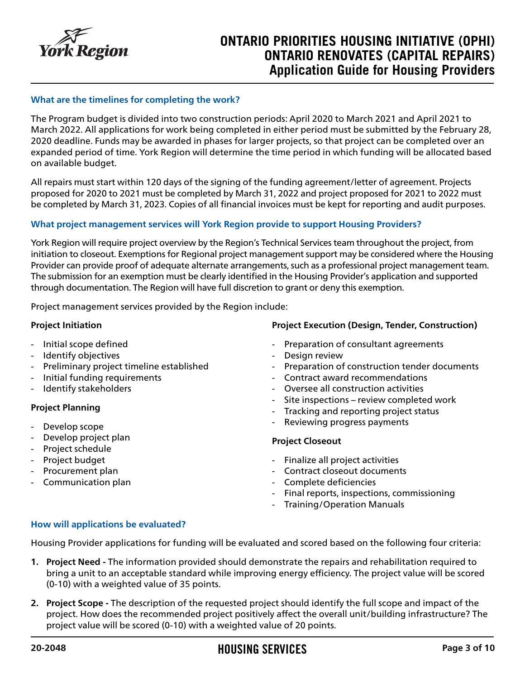

## **ONTARIO PRIORITIES HOUSING INITIATIVE (OPHI) ONTARIO RENOVATES (CAPITAL REPAIRS) Application Guide for Housing Providers**

#### **What are the timelines for completing the work?**

The Program budget is divided into two construction periods: April 2020 to March 2021 and April 2021 to March 2022. All applications for work being completed in either period must be submitted by the February 28, 2020 deadline. Funds may be awarded in phases for larger projects, so that project can be completed over an expanded period of time. York Region will determine the time period in which funding will be allocated based on available budget.

All repairs must start within 120 days of the signing of the funding agreement/letter of agreement. Projects proposed for 2020 to 2021 must be completed by March 31, 2022 and project proposed for 2021 to 2022 must be completed by March 31, 2023. Copies of all financial invoices must be kept for reporting and audit purposes.

#### **What project management services will York Region provide to support Housing Providers?**

York Region will require project overview by the Region's Technical Services team throughout the project, from initiation to closeout. Exemptions for Regional project management support may be considered where the Housing Provider can provide proof of adequate alternate arrangements, such as a professional project management team. The submission for an exemption must be clearly identified in the Housing Provider's application and supported through documentation. The Region will have full discretion to grant or deny this exemption.

Project management services provided by the Region include:

#### **Project Initiation**

- Initial scope defined
- Identify objectives
- Preliminary project timeline established
- Initial funding requirements
- Identify stakeholders

#### **Project Planning**

- Develop scope
- Develop project plan
- Project schedule
- Project budget
- Procurement plan
- Communication plan

#### **Project Execution (Design, Tender, Construction)**

- Preparation of consultant agreements
- Design review
- Preparation of construction tender documents
- Contract award recommendations
- Oversee all construction activities
- Site inspections review completed work
- Tracking and reporting project status
- Reviewing progress payments

#### **Project Closeout**

- Finalize all project activities
- Contract closeout documents
- Complete deficiencies
- Final reports, inspections, commissioning
- Training/Operation Manuals

#### **How will applications be evaluated?**

Housing Provider applications for funding will be evaluated and scored based on the following four criteria:

- **1. Project Need -** The information provided should demonstrate the repairs and rehabilitation required to bring a unit to an acceptable standard while improving energy efficiency. The project value will be scored (0-10) with a weighted value of 35 points.
- **2. Project Scope -** The description of the requested project should identify the full scope and impact of the project. How does the recommended project positively affect the overall unit/building infrastructure? The project value will be scored (0-10) with a weighted value of 20 points.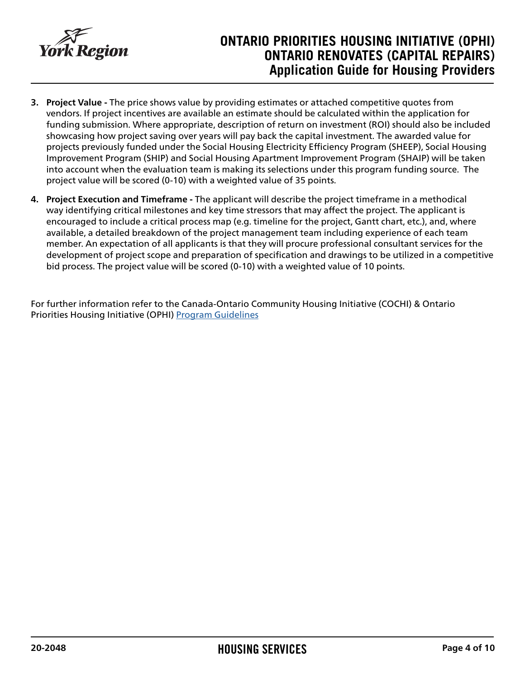

## **ONTARIO PRIORITIES HOUSING INITIATIVE (OPHI) ONTARIO RENOVATES (CAPITAL REPAIRS) Application Guide for Housing Providers**

- **3. Project Value -** The price shows value by providing estimates or attached competitive quotes from vendors. If project incentives are available an estimate should be calculated within the application for funding submission. Where appropriate, description of return on investment (ROI) should also be included showcasing how project saving over years will pay back the capital investment. The awarded value for projects previously funded under the Social Housing Electricity Efficiency Program (SHEEP), Social Housing Improvement Program (SHIP) and Social Housing Apartment Improvement Program (SHAIP) will be taken into account when the evaluation team is making its selections under this program funding source. The project value will be scored (0-10) with a weighted value of 35 points.
- **4. Project Execution and Timeframe -** The applicant will describe the project timeframe in a methodical way identifying critical milestones and key time stressors that may affect the project. The applicant is encouraged to include a critical process map (e.g. timeline for the project, Gantt chart, etc.), and, where available, a detailed breakdown of the project management team including experience of each team member. An expectation of all applicants is that they will procure professional consultant services for the development of project scope and preparation of specification and drawings to be utilized in a competitive bid process. The project value will be scored (0-10) with a weighted value of 10 points.

For further information refer to the Canada-Ontario Community Housing Initiative (COCHI) & Ontario Priorities Housing Initiative (OPHI) [Program Guidelines](https://www.york.ca/wps/wcm/connect/yorkpublic/0d3aa37f-176b-4a62-9b69-48bfcd71c0c3/Schedule-G-COCHI-and-OPHI-Guidelines.pdf?MOD=AJPERES)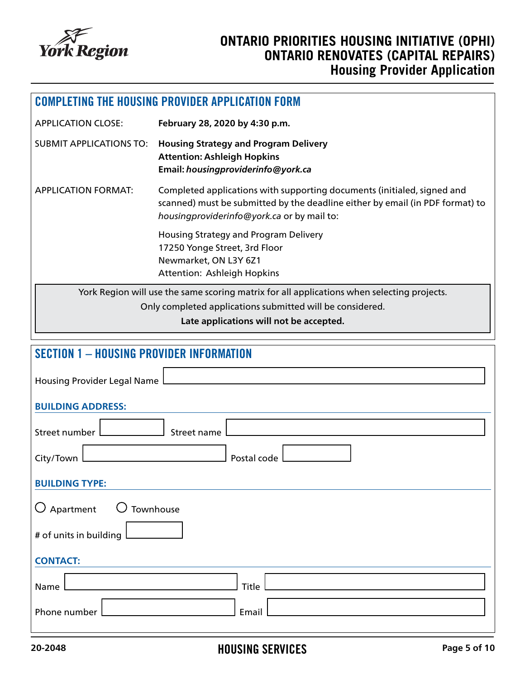

| <b>COMPLETING THE HOUSING PROVIDER APPLICATION FORM</b>                                                                               |                                                                                                                                                                                                        |  |  |  |
|---------------------------------------------------------------------------------------------------------------------------------------|--------------------------------------------------------------------------------------------------------------------------------------------------------------------------------------------------------|--|--|--|
| <b>APPLICATION CLOSE:</b>                                                                                                             | February 28, 2020 by 4:30 p.m.                                                                                                                                                                         |  |  |  |
| <b>SUBMIT APPLICATIONS TO:</b>                                                                                                        | <b>Housing Strategy and Program Delivery</b><br><b>Attention: Ashleigh Hopkins</b><br>Email: housingproviderinfo@york.ca                                                                               |  |  |  |
| <b>APPLICATION FORMAT:</b>                                                                                                            | Completed applications with supporting documents (initialed, signed and<br>scanned) must be submitted by the deadline either by email (in PDF format) to<br>housingproviderinfo@york.ca or by mail to: |  |  |  |
| Housing Strategy and Program Delivery<br>17250 Yonge Street, 3rd Floor<br>Newmarket, ON L3Y 6Z1<br><b>Attention: Ashleigh Hopkins</b> |                                                                                                                                                                                                        |  |  |  |
| York Region will use the same scoring matrix for all applications when selecting projects.                                            |                                                                                                                                                                                                        |  |  |  |
|                                                                                                                                       | Only completed applications submitted will be considered.<br>Late applications will not be accepted.                                                                                                   |  |  |  |
|                                                                                                                                       |                                                                                                                                                                                                        |  |  |  |
| <b>SECTION 1 - HOUSING PROVIDER INFORMATION</b>                                                                                       |                                                                                                                                                                                                        |  |  |  |
| <b>Housing Provider Legal Name</b>                                                                                                    |                                                                                                                                                                                                        |  |  |  |
| <b>BUILDING ADDRESS:</b>                                                                                                              |                                                                                                                                                                                                        |  |  |  |
| Street number                                                                                                                         | Street name                                                                                                                                                                                            |  |  |  |
| Postal code<br>City/Town                                                                                                              |                                                                                                                                                                                                        |  |  |  |
| <b>BUILDING TYPE:</b>                                                                                                                 |                                                                                                                                                                                                        |  |  |  |
| $\bigcirc$ Apartment<br>$\bigcup$ Townhouse                                                                                           |                                                                                                                                                                                                        |  |  |  |
| # of units in building                                                                                                                |                                                                                                                                                                                                        |  |  |  |
| <b>CONTACT:</b>                                                                                                                       |                                                                                                                                                                                                        |  |  |  |
| Name                                                                                                                                  | Title                                                                                                                                                                                                  |  |  |  |
| Phone number                                                                                                                          | Email                                                                                                                                                                                                  |  |  |  |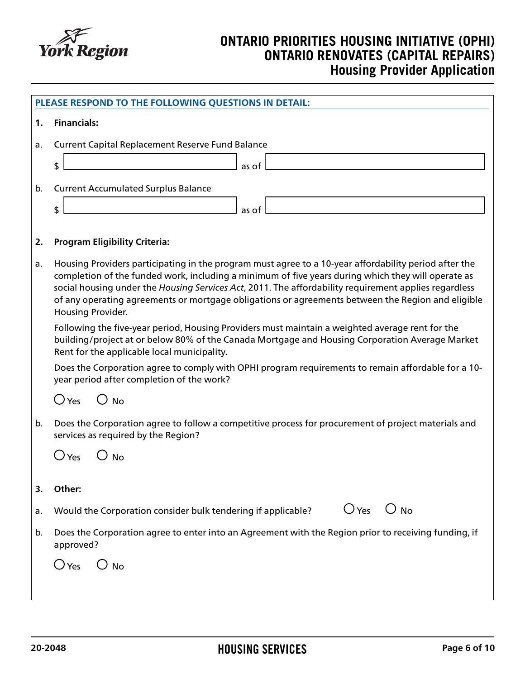

|    | PLEASE RESPOND TO THE FOLLOWING QUESTIONS IN DETAIL:                                                                                                                                                                                                                                                                                                                                                                                           |  |  |
|----|------------------------------------------------------------------------------------------------------------------------------------------------------------------------------------------------------------------------------------------------------------------------------------------------------------------------------------------------------------------------------------------------------------------------------------------------|--|--|
| 1. | <b>Financials:</b>                                                                                                                                                                                                                                                                                                                                                                                                                             |  |  |
| a. | <b>Current Capital Replacement Reserve Fund Balance</b>                                                                                                                                                                                                                                                                                                                                                                                        |  |  |
|    | \$<br>as of                                                                                                                                                                                                                                                                                                                                                                                                                                    |  |  |
| b. | <b>Current Accumulated Surplus Balance</b>                                                                                                                                                                                                                                                                                                                                                                                                     |  |  |
|    | \$<br>as of                                                                                                                                                                                                                                                                                                                                                                                                                                    |  |  |
| 2. | <b>Program Eligibility Criteria:</b>                                                                                                                                                                                                                                                                                                                                                                                                           |  |  |
| a. | Housing Providers participating in the program must agree to a 10-year affordability period after the<br>completion of the funded work, including a minimum of five years during which they will operate as<br>social housing under the Housing Services Act, 2011. The affordability requirement applies regardless<br>of any operating agreements or mortgage obligations or agreements between the Region and eligible<br>Housing Provider. |  |  |
|    | Following the five-year period, Housing Providers must maintain a weighted average rent for the<br>building/project at or below 80% of the Canada Mortgage and Housing Corporation Average Market<br>Rent for the applicable local municipality.                                                                                                                                                                                               |  |  |
|    | Does the Corporation agree to comply with OPHI program requirements to remain affordable for a 10-<br>year period after completion of the work?                                                                                                                                                                                                                                                                                                |  |  |
|    | $\bigcirc$ Yes<br>$\bigcirc$ No                                                                                                                                                                                                                                                                                                                                                                                                                |  |  |
| b. | Does the Corporation agree to follow a competitive process for procurement of project materials and<br>services as required by the Region?                                                                                                                                                                                                                                                                                                     |  |  |
|    | $\bigcirc$ Yes<br><b>No</b>                                                                                                                                                                                                                                                                                                                                                                                                                    |  |  |
| 3. | Other:                                                                                                                                                                                                                                                                                                                                                                                                                                         |  |  |
| a. | $O$ Yes $O$ No<br>Would the Corporation consider bulk tendering if applicable?                                                                                                                                                                                                                                                                                                                                                                 |  |  |
| b. | Does the Corporation agree to enter into an Agreement with the Region prior to receiving funding, if<br>approved?                                                                                                                                                                                                                                                                                                                              |  |  |
|    | $\bigcirc$ Yes<br>$\bigcirc$ No                                                                                                                                                                                                                                                                                                                                                                                                                |  |  |
|    |                                                                                                                                                                                                                                                                                                                                                                                                                                                |  |  |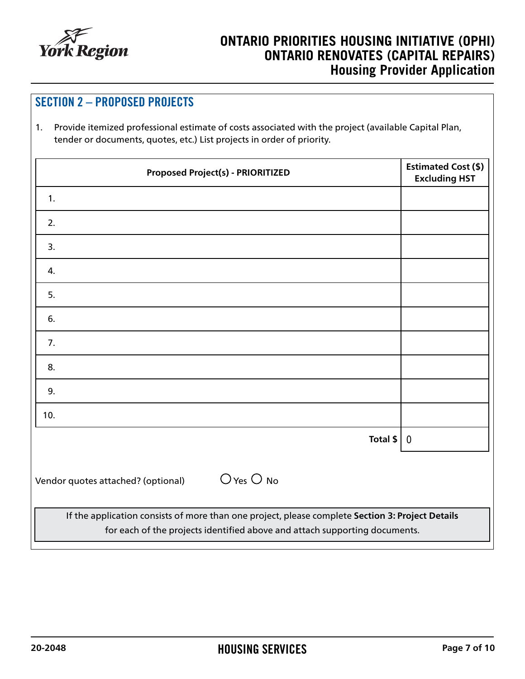

| <b>SECTION 2 - PROPOSED PROJECTS</b><br>Provide itemized professional estimate of costs associated with the project (available Capital Plan,<br>1 <sub>1</sub><br>tender or documents, quotes, etc.) List projects in order of priority. |                                                    |  |  |  |
|------------------------------------------------------------------------------------------------------------------------------------------------------------------------------------------------------------------------------------------|----------------------------------------------------|--|--|--|
| <b>Proposed Project(s) - PRIORITIZED</b>                                                                                                                                                                                                 | <b>Estimated Cost (\$)</b><br><b>Excluding HST</b> |  |  |  |
| 1.                                                                                                                                                                                                                                       |                                                    |  |  |  |
| 2.                                                                                                                                                                                                                                       |                                                    |  |  |  |
| 3.                                                                                                                                                                                                                                       |                                                    |  |  |  |
| 4.                                                                                                                                                                                                                                       |                                                    |  |  |  |
| 5.                                                                                                                                                                                                                                       |                                                    |  |  |  |
| 6.                                                                                                                                                                                                                                       |                                                    |  |  |  |
| 7.                                                                                                                                                                                                                                       |                                                    |  |  |  |
| 8.                                                                                                                                                                                                                                       |                                                    |  |  |  |
| 9.                                                                                                                                                                                                                                       |                                                    |  |  |  |
| 10.<br>Total $$ $                                                                                                                                                                                                                        | $\bf{0}$                                           |  |  |  |
|                                                                                                                                                                                                                                          |                                                    |  |  |  |
| $O$ Yes $O$ No<br>Vendor quotes attached? (optional)                                                                                                                                                                                     |                                                    |  |  |  |
| If the application consists of more than one project, please complete Section 3: Project Details<br>for each of the projects identified above and attach supporting documents.                                                           |                                                    |  |  |  |

ヿ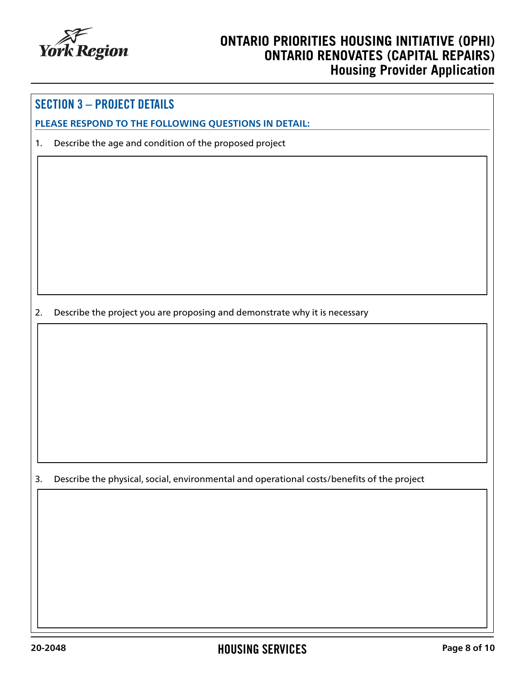

### SECTION 3 – PROJECT DETAILS

**PLEASE RESPOND TO THE FOLLOWING QUESTIONS IN DETAIL:**

1. Describe the age and condition of the proposed project

2. Describe the project you are proposing and demonstrate why it is necessary

3. Describe the physical, social, environmental and operational costs/benefits of the project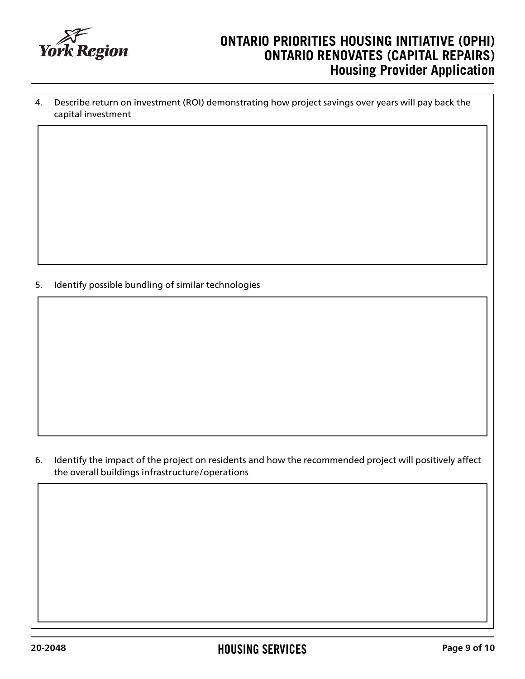

| 4. | Describe return on investment (ROI) demonstrating how project savings over years will pay back the<br>capital investment                                  |  |
|----|-----------------------------------------------------------------------------------------------------------------------------------------------------------|--|
|    |                                                                                                                                                           |  |
| 5. | Identify possible bundling of similar technologies                                                                                                        |  |
|    |                                                                                                                                                           |  |
| 6. | Identify the impact of the project on residents and how the recommended project will positively affect<br>the overall buildings infrastructure/operations |  |
|    |                                                                                                                                                           |  |